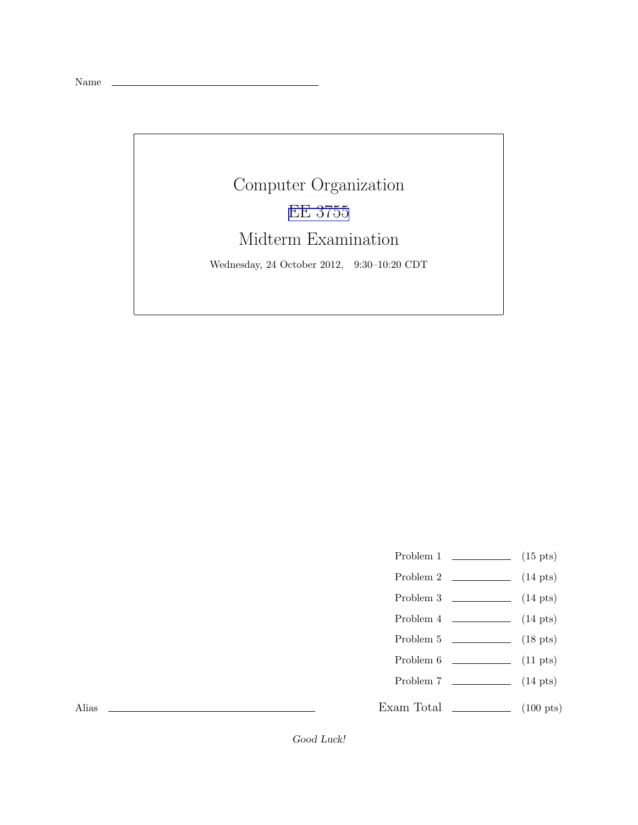Name

## Computer Organization [EE 3755](http://www.ece.lsu.edu/ee3755/) Midterm Examination Wednesday, 24 October 2012, 9:30–10:20 CDT

- Problem 1  $\qquad \qquad$  (15 pts)
- Problem 2  $\qquad \qquad$  (14 pts)
- Problem 3  $\qquad \qquad (14 \text{ pts})$
- Problem 4 (14 pts)
- Problem 5 (18 pts)
- Problem 6 (11 pts)
- Problem 7 (14 pts)
- Exam Total \_\_\_\_\_\_\_\_\_\_\_\_\_\_ (100 pts)

Alias

Good Luck!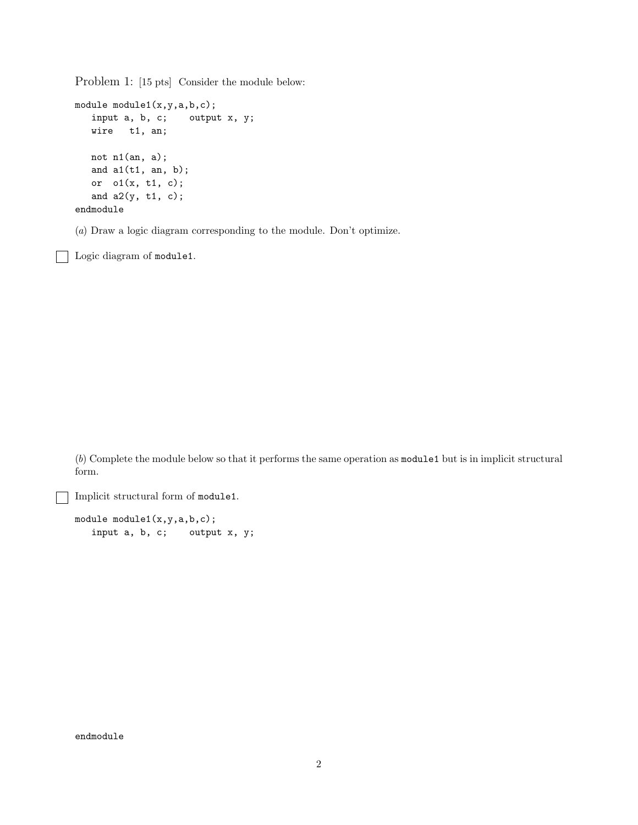Problem 1: [15 pts] Consider the module below:

```
module module1(x,y,a,b,c);
  input a, b, c; output x, y;
  wire t1, an;
  not n1(an, a);
  and a1(t1, an, b);
  or o1(x, t1, c);
  and a2(y, t1, c);
endmodule
```
(*a*) Draw a logic diagram corresponding to the module. Don't optimize.

Logic diagram of module1.

(*b*) Complete the module below so that it performs the same operation as module1 but is in implicit structural form.

Implicit structural form of module1.

module module1(x,y,a,b,c); input a, b, c; output x, y;

endmodule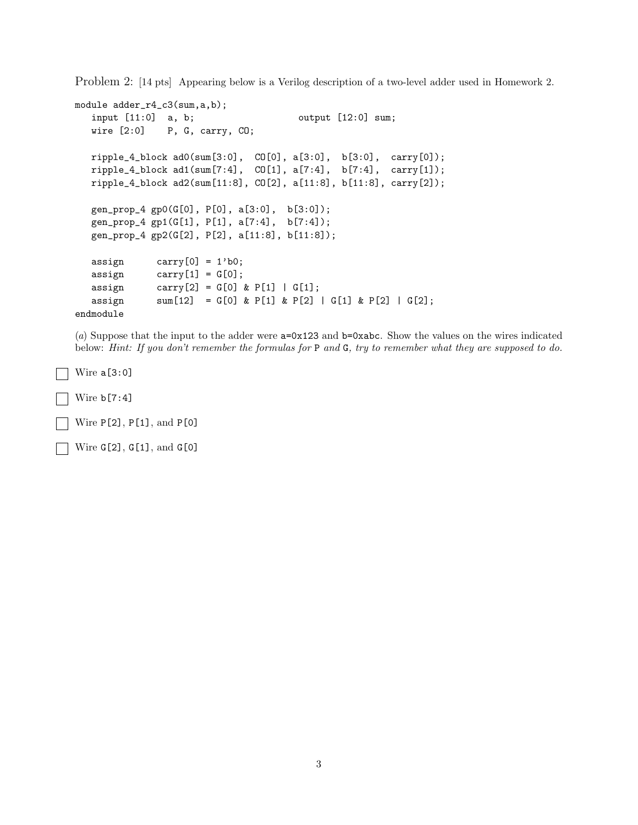Problem 2: [14 pts] Appearing below is a Verilog description of a two-level adder used in Homework 2.

```
module adder_r4_c3(sum,a,b);
  input [11:0] a, b; output [12:0] sum;
  wire [2:0] P, G, carry, CO;
  ripple_4_block ad0(sum[3:0], CO[0], a[3:0], b[3:0], carry[0]);
  ripple_4_block ad1(sum[7:4], CO[1], a[7:4], b[7:4], carry[1]);
  ripple_4_block ad2(sum[11:8], CO[2], a[11:8], b[11:8], carry[2]);
  gen_prop_4 gp0(G[0], P[0], a[3:0], b[3:0]);
  gen_prop_4 gp1(G[1], P[1], a[7:4], b[7:4]);
  gen_prop_4 gp2(G[2], P[2], a[11:8], b[11:8]);
  assign carry [0] = 1'b0;assign carry[1] = G[0];assign carry [2] = G[0] & P[1] | G[1];
  assign sum[12] = G[0] & P[1] & P[2] | G[1] & P[2] | G[2];endmodule
```
(*a*) Suppose that the input to the adder were a=0x123 and b=0xabc. Show the values on the wires indicated below: *Hint: If you don't remember the formulas for* P *and* G*, try to remember what they are supposed to do.*

 $\Box$  Wire a[3:0]

 $\sqrt{\text{Wire b}[7:4]}$ 

Wire  $P[2]$ ,  $P[1]$ , and  $P[0]$ 

Wire G[2], G[1], and G[0]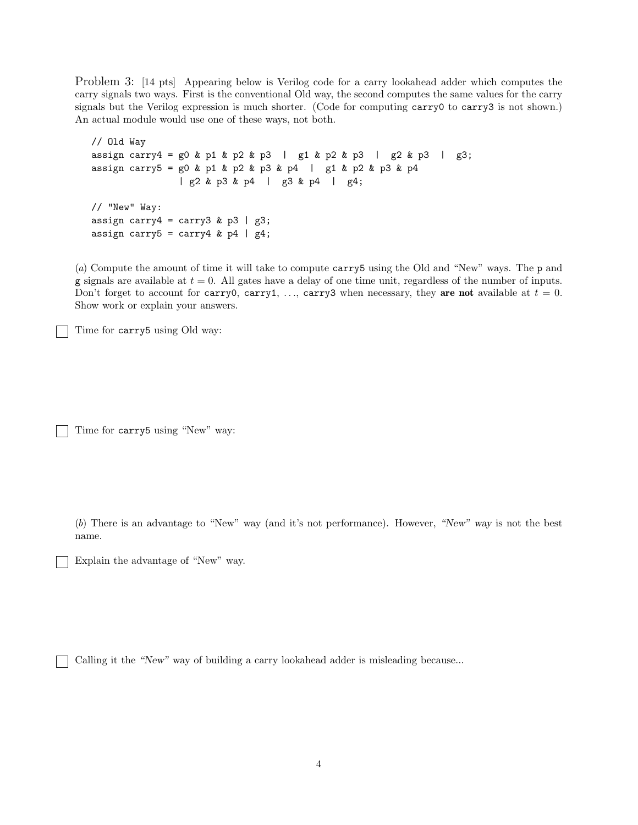Problem 3: [14 pts] Appearing below is Verilog code for a carry lookahead adder which computes the carry signals two ways. First is the conventional Old way, the second computes the same values for the carry signals but the Verilog expression is much shorter. (Code for computing carry0 to carry3 is not shown.) An actual module would use one of these ways, not both.

```
// Old Way
assign carry4 = g0 & p1 & p2 & p3 | g1 & p2 & p3 | g2 & p3 | g3;
assign carry5 = g0 & p1 & p2 & p3 & p4 | g1 & p2 & p3 & p4
               | g2 & p3 & p4 | g3 & p4 | g4;
// "New" Way:
assign carry4 = carry3 & p3 | g3;
assign carry5 = carry4 & p4 | g4;
```
(*a*) Compute the amount of time it will take to compute carry5 using the Old and "New" ways. The p and g signals are available at  $t = 0$ . All gates have a delay of one time unit, regardless of the number of inputs. Don't forget to account for carry0, carry1, ..., carry3 when necessary, they are not available at  $t = 0$ . Show work or explain your answers.

Time for carry5 using Old way:

Time for carry5 using "New" way:

(*b*) There is an advantage to "New" way (and it's not performance). However, "New" way is not the best name.

Explain the advantage of "New" way.

Calling it the "New" way of building a carry lookahead adder is misleading because...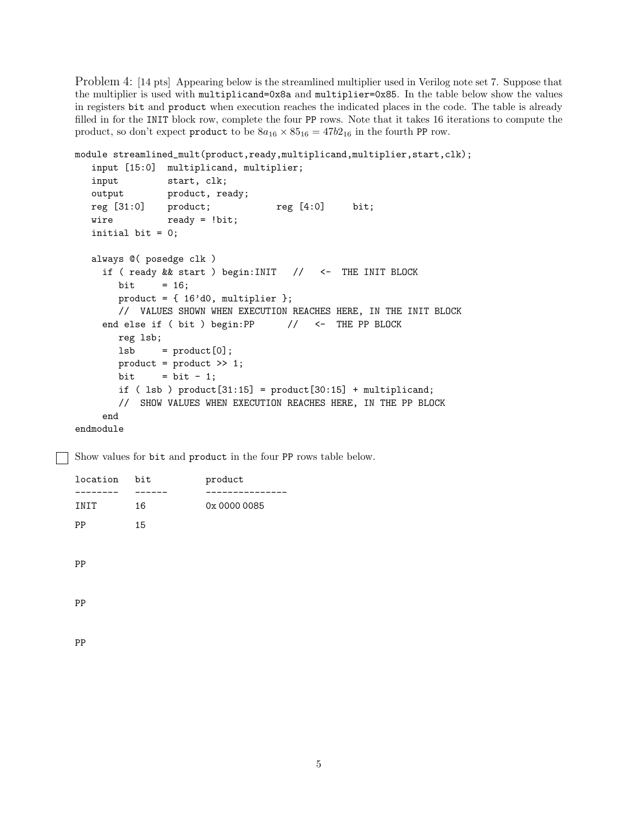Problem 4: [14 pts] Appearing below is the streamlined multiplier used in Verilog note set 7. Suppose that the multiplier is used with multiplicand=0x8a and multiplier=0x85. In the table below show the values in registers bit and product when execution reaches the indicated places in the code. The table is already filled in for the INIT block row, complete the four PP rows. Note that it takes 16 iterations to compute the product, so don't expect product to be  $8a_{16} \times 85_{16} = 47b_{16}$  in the fourth PP row.

```
module streamlined_mult(product,ready,multiplicand,multiplier,start,clk);
  input [15:0] multiplicand, multiplier;
  input start, clk;
  output product, ready;
  reg [31:0] product; reg [4:0] bit;
  wire ready = !bit;
  initial bit = 0;
  always @( posedge clk )
    if ( ready && start ) begin:INIT // <- THE INIT BLOCK
       bit = 16;
       product = \{ 16' d0, multiplier \};// VALUES SHOWN WHEN EXECUTION REACHES HERE, IN THE INIT BLOCK
    end else if ( bit ) begin:PP // <- THE PP BLOCK
       reg lsb;
       lsb = product[0];product = product >> 1;
       bit = bit - 1;
       if ( lsb ) product[31:15] = product[30:15] + multiplicand;
       // SHOW VALUES WHEN EXECUTION REACHES HERE, IN THE PP BLOCK
    end
endmodule
```
Show values for bit and product in the four PP rows table below.

| location | bit | product      |
|----------|-----|--------------|
| ----     |     |              |
| INIT     | 16  | 0x 0000 0085 |
| PP       | 15  |              |
|          |     |              |
| PP       |     |              |
|          |     |              |
|          |     |              |
| PP       |     |              |

PP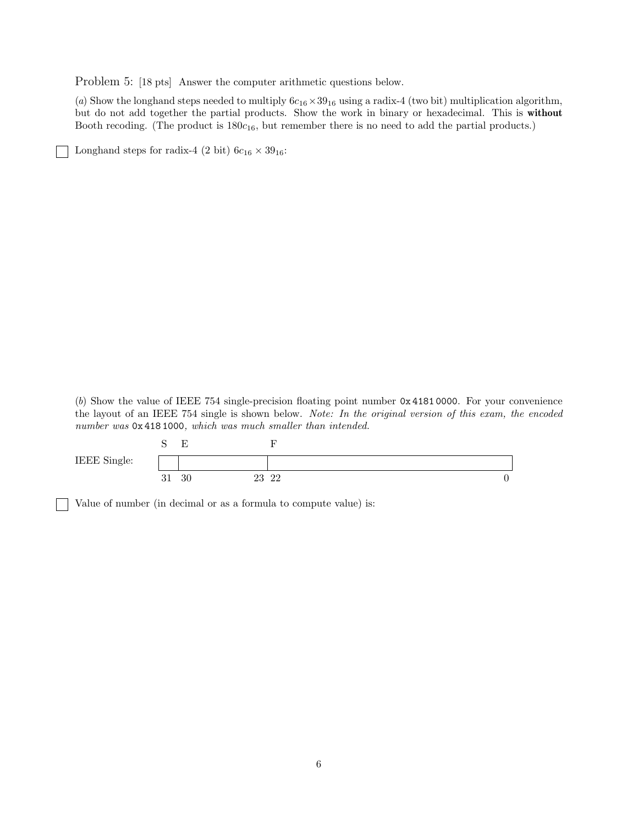Problem 5: [18 pts] Answer the computer arithmetic questions below.

(*a*) Show the longhand steps needed to multiply  $6c_{16} \times 39_{16}$  using a radix-4 (two bit) multiplication algorithm, but do not add together the partial products. Show the work in binary or hexadecimal. This is without Booth recoding. (The product is  $180c_{16}$ , but remember there is no need to add the partial products.)

Longhand steps for radix-4 (2 bit)  $6c_{16} \times 39_{16}$ :

(*b*) Show the value of IEEE 754 single-precision floating point number 0x 4181 0000. For your convenience the layout of an IEEE 754 single is shown below. *Note: In the original version of this exam, the encoded number was* 0x 418 1000*, which was much smaller than intended.*

|              | ~<br>$\overline{\phantom{0}}$ |             |   |
|--------------|-------------------------------|-------------|---|
| IEEE Single: |                               |             |   |
|              | 30<br>υı                      | 23 22<br>∠⊖ | v |

Value of number (in decimal or as a formula to compute value) is: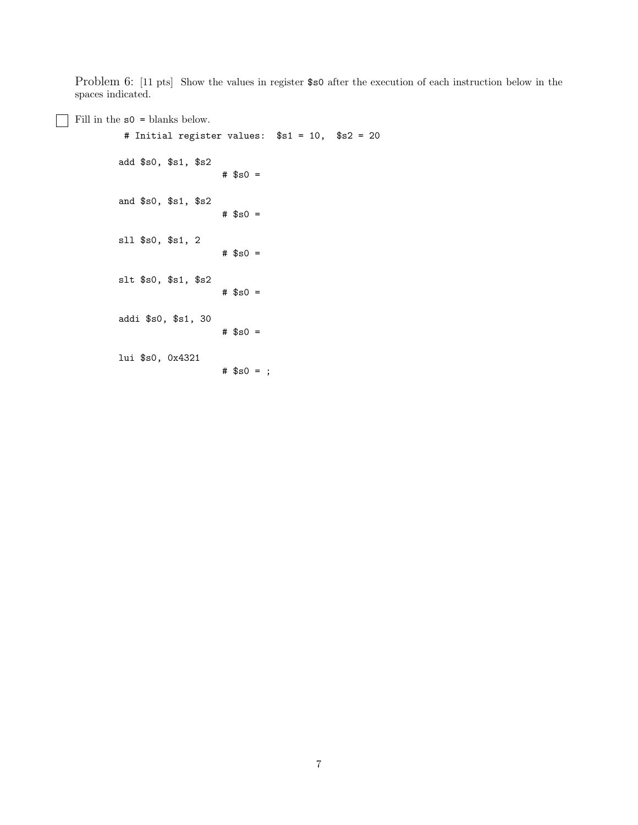Problem 6: [11 pts] Show the values in register \$s0 after the execution of each instruction below in the spaces indicated.

## Fill in the  $s0 =$  blanks below.

```
# Initial register values: $s1 = 10, $s2 = 20
add $s0, $s1, $s2
                   # $s0 =
and $s0, $s1, $s2
                   # $s0 =sll $s0, $s1, 2
                   # $s0 =slt $s0, $s1, $s2
                   # $s0 =
addi $s0, $s1, 30
                   # $s0 =
lui $s0, 0x4321
                   # $s0 = ;
```